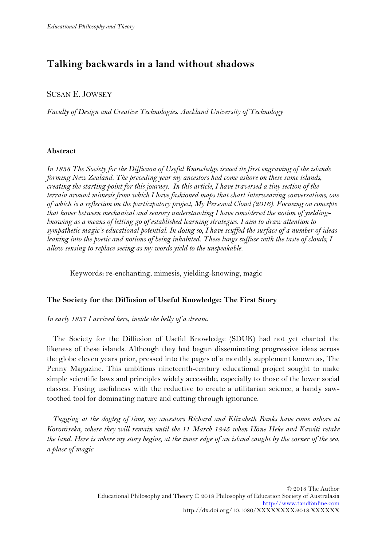# **Talking backwards in a land without shadows**

## SUSAN E. JOWSEY

*Faculty of Design and Creative Technologies, Auckland University of Technology* 

### **Abstract**

*In 1838 The Society for the Diffusion of Useful Knowledge issued its first engraving of the islands forming New Zealand. The preceding year my ancestors had come ashore on these same islands, creating the starting point for this journey. In this article, I have traversed a tiny section of the terrain around mimesis from which I have fashioned maps that chart interweaving conversations, one of which is a reflection on the participatory project, My Personal Cloud (2016). Focusing on concepts that hover between mechanical and sensory understanding I have considered the notion of yieldingknowing as a means of letting go of established learning strategies. I aim to draw attention to sympathetic magic's educational potential. In doing so, I have scuffed the surface of a number of ideas leaning into the poetic and notions of being inhabited. These lungs suffuse with the taste of clouds; I allow sensing to replace seeing as my words yield to the unspeakable.* 

Keywords**:** re-enchanting, mimesis, yielding-knowing, magic

### **The Society for the Diffusion of Useful Knowledge: The First Story**

*In early 1837 I arrived here, inside the belly of a dream.* 

The Society for the Diffusion of Useful Knowledge (SDUK) had not yet charted the likeness of these islands. Although they had begun disseminating progressive ideas across the globe eleven years prior, pressed into the pages of a monthly supplement known as, The Penny Magazine. This ambitious nineteenth-century educational project sought to make simple scientific laws and principles widely accessible, especially to those of the lower social classes. Fusing usefulness with the reductive to create a utilitarian science, a handy sawtoothed tool for dominating nature and cutting through ignorance.

*Tugging at the dogleg of time, my ancestors Richard and Elizabeth Banks have come ashore at Kororāreka, where they will remain until the 11 March 1845 when Hōne Heke and Kawiti retake the land. Here is where my story begins, at the inner edge of an island caught by the corner of the sea, a place of magic*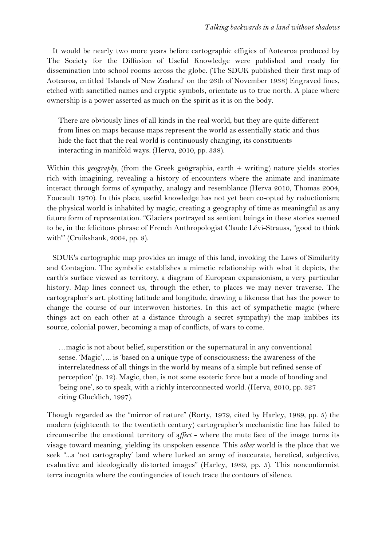It would be nearly two more years before cartographic effigies of Aotearoa produced by The Society for the Diffusion of Useful Knowledge were published and ready for dissemination into school rooms across the globe. (The SDUK published their first map of Aotearoa, entitled 'Islands of New Zealand' on the 26th of November 1938) Engraved lines, etched with sanctified names and cryptic symbols, orientate us to true north. A place where ownership is a power asserted as much on the spirit as it is on the body.

There are obviously lines of all kinds in the real world, but they are quite different from lines on maps because maps represent the world as essentially static and thus hide the fact that the real world is continuously changing, its constituents interacting in manifold ways. (Herva, 2010, pp. 338).

Within this *geography*, (from the Greek geographia, earth + writing) nature yields stories rich with imagining, revealing a history of encounters where the animate and inanimate interact through forms of sympathy, analogy and resemblance (Herva 2010, Thomas 2004, Foucault 1970). In this place, useful knowledge has not yet been co-opted by reductionism; the physical world is inhabited by magic, creating a geography of time as meaningful as any future form of representation. "Glaciers portrayed as sentient beings in these stories seemed to be, in the felicitous phrase of French Anthropologist Claude Lévi-Strauss, "good to think with" (Cruikshank, 2004, pp. 8).

SDUK's cartographic map provides an image of this land, invoking the Laws of Similarity and Contagion. The symbolic establishes a mimetic relationship with what it depicts, the earth's surface viewed as territory, a diagram of European expansionism, a very particular history. Map lines connect us, through the ether, to places we may never traverse. The cartographer's art, plotting latitude and longitude, drawing a likeness that has the power to change the course of our interwoven histories. In this act of sympathetic magic (where things act on each other at a distance through a secret sympathy) the map imbibes its source, colonial power, becoming a map of conflicts, of wars to come.

…magic is not about belief, superstition or the supernatural in any conventional sense. 'Magic', ... is 'based on a unique type of consciousness: the awareness of the interrelatedness of all things in the world by means of a simple but refined sense of perception' (p. 12). Magic, then, is not some esoteric force but a mode of bonding and 'being one', so to speak, with a richly interconnected world. (Herva, 2010, pp. 327 citing Glucklich, 1997).

Though regarded as the "mirror of nature" (Rorty, 1979, cited by Harley, 1989, pp. 5) the modern (eighteenth to the twentieth century) cartographer's mechanistic line has failed to circumscribe the emotional territory of a*ffect* - where the mute face of the image turns its visage toward meaning, yielding its unspoken essence. This *other* world is the place that we seek "...a 'not cartography' land where lurked an army of inaccurate, heretical, subjective, evaluative and ideologically distorted images" (Harley, 1989, pp. 5). This nonconformist terra incognita where the contingencies of touch trace the contours of silence.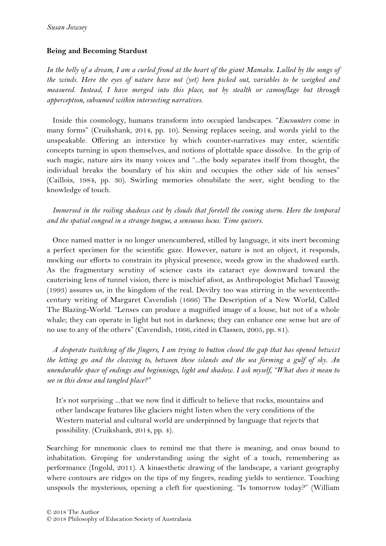## **Being and Becoming Stardust**

*In the belly of a dream, I am a curled frond at the heart of the giant Mamaku. Lulled by the songs of the winds. Here the eyes of nature have not (yet) been picked out, variables to be weighed and measured. Instead, I have merged into this place, not by stealth or camouflage but through apperception, subsumed within intersecting narratives.* 

Inside this cosmology, humans transform into occupied landscapes. "*Encounters* come in many forms" (Cruikshank, 2014, pp. 10). Sensing replaces seeing, and words yield to the unspeakable. Offering an interstice by which counter-narratives may enter, scientific concepts turning in upon themselves, and notions of plottable space dissolve. In the grip of such magic, nature airs its many voices and "...the body separates itself from thought, the individual breaks the boundary of his skin and occupies the other side of his senses" (Caillois, 1984, pp. 30). Swirling memories obnubilate the seer, sight bending to the knowledge of touch.

*Immersed in the roiling shadows cast by clouds that foretell the coming storm. Here the temporal and the spatial congeal in a strange tongue, a sensuous locus*. *Time quivers.* 

Once named matter is no longer unencumbered, stilled by language, it sits inert becoming a perfect specimen for the scientific gaze. However, nature is not an object, it responds, mocking our efforts to constrain its physical presence, weeds grow in the shadowed earth. As the fragmentary scrutiny of science casts its cataract eye downward toward the cauterising lens of tunnel vision, there is mischief afoot, as Anthropologist Michael Taussig (1993) assures us, in the kingdom of the real. Devilry too was stirring in the seventeenthcentury writing of Margaret Cavendish (1666) The Description of a New World, Called The Blazing-World. "Lenses can produce a magnified image of a louse, but not of a whole whale; they can operate in light but not in darkness; they can enhance one sense but are of no use to any of the others" (Cavendish, 1666, cited in Classen, 2005, pp. 81).

*A desperate twitching of the fingers, I am trying to button closed the gap that has opened betwixt the letting go and the cleaving to, between these islands and the sea forming a gulf of sky. An unendurable space of endings and beginnings, light and shadow. I ask myself, "What does it mean to see in this dense and tangled place?"* 

It's not surprising ...that we now find it difficult to believe that rocks, mountains and other landscape features like glaciers might listen when the very conditions of the Western material and cultural world are underpinned by language that rejects that possibility. (Cruikshank, 2014, pp. 4).

Searching for mnemonic clues to remind me that there is meaning, and onus bound to inhabitation. Groping for understanding using the sight of a touch, remembering as performance (Ingold, 2011). A kinaesthetic drawing of the landscape, a variant geography where contours are ridges on the tips of my fingers, reading yields to sentience. Touching unspools the mysterious, opening a cleft for questioning. "Is tomorrow today?" (William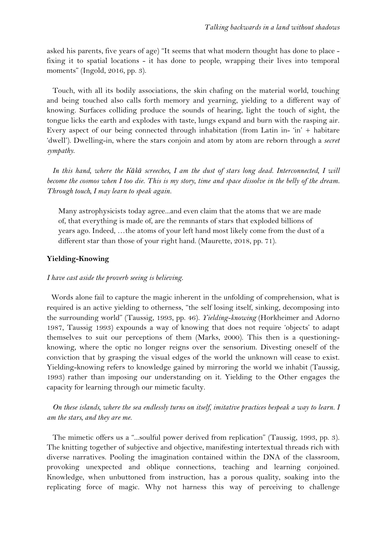asked his parents, five years of age) "It seems that what modern thought has done to place fixing it to spatial locations - it has done to people, wrapping their lives into temporal moments" (Ingold, 2016, pp. 3).

Touch, with all its bodily associations, the skin chafing on the material world, touching and being touched also calls forth memory and yearning, yielding to a different way of knowing. Surfaces colliding produce the sounds of hearing, light the touch of sight, the tongue licks the earth and explodes with taste, lungs expand and burn with the rasping air. Every aspect of our being connected through inhabitation (from Latin in- $\hat{i}n' +$  habitare 'dwell'). Dwelling-in, where the stars conjoin and atom by atom are reborn through a *secret sympathy*.

*In this hand, where the Kākā screeches, I am the dust of stars long dead. Interconnected, I will become the cosmos when I too die. This is my story, time and space dissolve in the belly of the dream. Through touch, I may learn to speak again.*

Many astrophysicists today agree...and even claim that the atoms that we are made of, that everything is made of, are the remnants of stars that exploded billions of years ago. Indeed, …the atoms of your left hand most likely come from the dust of a different star than those of your right hand. (Maurette, 2018, pp. 71).

### **Yielding-Knowing**

### *I have cast aside the proverb seeing is believing.*

Words alone fail to capture the magic inherent in the unfolding of comprehension, what is required is an active yielding to otherness, "the self losing itself, sinking, decomposing into the surrounding world" (Taussig, 1993, pp. 46). *Yielding-knowing* (Horkheimer and Adorno 1987, Taussig 1993) expounds a way of knowing that does not require 'objects' to adapt themselves to suit our perceptions of them (Marks, 2000). This then is a questioningknowing, where the optic no longer reigns over the sensorium. Divesting oneself of the conviction that by grasping the visual edges of the world the unknown will cease to exist. Yielding-knowing refers to knowledge gained by mirroring the world we inhabit (Taussig, 1993) rather than imposing our understanding on it. Yielding to the Other engages the capacity for learning through our mimetic faculty.

*On these islands, where the sea endlessly turns on itself, imitative practices bespeak a way to learn. I am the stars, and they are me.*

The mimetic offers us a "...soulful power derived from replication" (Taussig, 1993, pp. 3). The knitting together of subjective and objective, manifesting intertextual threads rich with diverse narratives. Pooling the imagination contained within the DNA of the classroom, provoking unexpected and oblique connections, teaching and learning conjoined. Knowledge, when unbuttoned from instruction, has a porous quality, soaking into the replicating force of magic. Why not harness this way of perceiving to challenge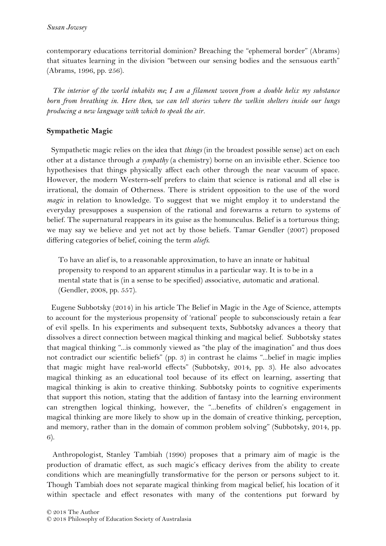contemporary educations territorial dominion? Breaching the "ephemeral border" (Abrams) that situates learning in the division "between our sensing bodies and the sensuous earth" (Abrams, 1996, pp. 256).

*The interior of the world inhabits me; I am a filament woven from a double helix my substance born from breathing in. Here then, we can tell stories where the welkin shelters inside our lungs producing a new language with which to speak the air.* 

# **Sympathetic Magic**

Sympathetic magic relies on the idea that *things* (in the broadest possible sense) act on each other at a distance through *a sympathy* (a chemistry) borne on an invisible ether. Science too hypothesises that things physically affect each other through the near vacuum of space. However, the modern Western-self prefers to claim that science is rational and all else is irrational, the domain of Otherness. There is strident opposition to the use of the word *magic* in relation to knowledge. To suggest that we might employ it to understand the everyday presupposes a suspension of the rational and forewarns a return to systems of belief. The supernatural reappears in its guise as the homunculus. Belief is a torturous thing; we may say we believe and yet not act by those beliefs. Tamar Gendler (2007) proposed differing categories of belief, coining the term *aliefs*.

To have an alief is, to a reasonable approximation, to have an innate or habitual propensity to respond to an apparent stimulus in a particular way. It is to be in a mental state that is (in a sense to be specified) *a*ssociative, *a*utomatic and *a*rational. (Gendler, 2008, pp. 557).

Eugene Subbotsky (2014) in his article The Belief in Magic in the Age of Science, attempts to account for the mysterious propensity of 'rational' people to subconsciously retain a fear of evil spells. In his experiments and subsequent texts, Subbotsky advances a theory that dissolves a direct connection between magical thinking and magical belief. Subbotsky states that magical thinking "...is commonly viewed as "the play of the imagination" and thus does not contradict our scientific beliefs" (pp. 3) in contrast he claims "...belief in magic implies that magic might have real-world effects" (Subbotsky, 2014, pp. 3). He also advocates magical thinking as an educational tool because of its effect on learning, asserting that magical thinking is akin to creative thinking. Subbotsky points to cognitive experiments that support this notion, stating that the addition of fantasy into the learning environment can strengthen logical thinking, however, the "...benefits of children's engagement in magical thinking are more likely to show up in the domain of creative thinking, perception, and memory, rather than in the domain of common problem solving" (Subbotsky, 2014, pp. 6).

Anthropologist, Stanley Tambiah (1990) proposes that a primary aim of magic is the production of dramatic effect, as such magic's efficacy derives from the ability to create conditions which are meaningfully transformative for the person or persons subject to it. Though Tambiah does not separate magical thinking from magical belief, his location of it within spectacle and effect resonates with many of the contentions put forward by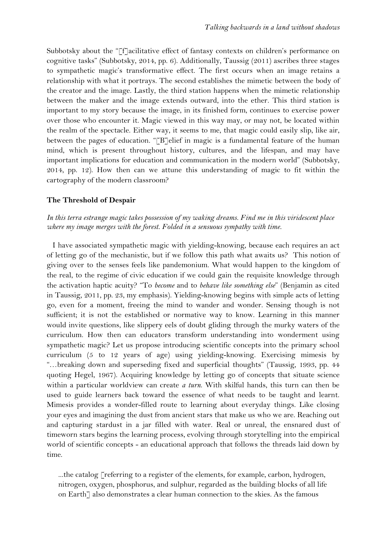Subbotsky about the "[f]acilitative effect of fantasy contexts on children's performance on cognitive tasks" (Subbotsky, 2014, pp. 6). Additionally, Taussig (2011) ascribes three stages to sympathetic magic's transformative effect. The first occurs when an image retains a relationship with what it portrays. The second establishes the mimetic between the body of the creator and the image. Lastly, the third station happens when the mimetic relationship between the maker and the image extends outward, into the ether. This third station is important to my story because the image, in its finished form, continues to exercise power over those who encounter it. Magic viewed in this way may, or may not, be located within the realm of the spectacle. Either way, it seems to me, that magic could easily slip, like air, between the pages of education. "[B]elief in magic is a fundamental feature of the human mind, which is present throughout history, cultures, and the lifespan, and may have important implications for education and communication in the modern world" (Subbotsky, 2014, pp. 12). How then can we attune this understanding of magic to fit within the cartography of the modern classroom?

### **The Threshold of Despair**

## *In this terra estrange magic takes possession of my waking dreams. Find me in this viridescent place where my image merges with the forest. Folded in a sensuous sympathy with time.*

I have associated sympathetic magic with yielding-knowing, because each requires an act of letting go of the mechanistic, but if we follow this path what awaits us? This notion of giving over to the senses feels like pandemonium. What would happen to the kingdom of the real, to the regime of civic education if we could gain the requisite knowledge through the activation haptic acuity? "To *become* and to *behave like something else*" (Benjamin as cited in Taussig, 2011, pp. 23, my emphasis). Yielding-knowing begins with simple acts of letting go, even for a moment, freeing the mind to wander and wonder. Sensing though is not sufficient; it is not the established or normative way to know. Learning in this manner would invite questions, like slippery eels of doubt gliding through the murky waters of the curriculum. How then can educators transform understanding into wonderment using sympathetic magic? Let us propose introducing scientific concepts into the primary school curriculum (5 to 12 years of age) using yielding-knowing. Exercising mimesis by "…breaking down and superseding fixed and superficial thoughts" (Taussig, 1993, pp. 44 quoting Hegel, 1967). Acquiring knowledge by letting go of concepts that situate science within a particular worldview can create *a turn*. With skilful hands, this turn can then be used to guide learners back toward the essence of what needs to be taught and learnt. Mimesis provides a wonder-filled route to learning about everyday things. Like closing your eyes and imagining the dust from ancient stars that make us who we are. Reaching out and capturing stardust in a jar filled with water. Real or unreal, the ensnared dust of timeworn stars begins the learning process, evolving through storytelling into the empirical world of scientific concepts - an educational approach that follows the threads laid down by time.

...the catalog  $\lceil$  referring to a register of the elements, for example, carbon, hydrogen, nitrogen, oxygen, phosphorus, and sulphur, regarded as the building blocks of all life on Earth<sup>7</sup> also demonstrates a clear human connection to the skies. As the famous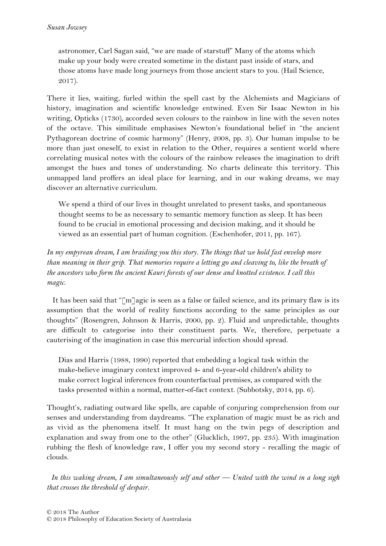astronomer, Carl Sagan said, "we are made of starstuff" Many of the atoms which make up your body were created sometime in the distant past inside of stars, and those atoms have made long journeys from those ancient stars to you. (Hail Science, 2017).

There it lies, waiting, furled within the spell cast by the Alchemists and Magicians of history, imagination and scientific knowledge entwined. Even Sir Isaac Newton in his writing, Opticks (1730), accorded seven colours to the rainbow in line with the seven notes of the octave. This similitude emphasises Newton's foundational belief in "the ancient Pythagorean doctrine of cosmic harmony" (Henry, 2008, pp. 3). Our human impulse to be more than just oneself, to exist in relation to the Other, requires a sentient world where correlating musical notes with the colours of the rainbow releases the imagination to drift amongst the hues and tones of understanding. No charts delineate this territory. This unmapped land proffers an ideal place for learning, and in our waking dreams, we may discover an alternative curriculum.

We spend a third of our lives in thought unrelated to present tasks, and spontaneous thought seems to be as necessary to semantic memory function as sleep. It has been found to be crucial in emotional processing and decision making, and it should be viewed as an essential part of human cognition. (Eschenhofer, 2011, pp. 167).

# *In my empyrean dream, I am braiding you this story. The things that we hold fast envelop more than meaning in their grip. That memories require a letting go and cleaving to, like the breath of the ancestors who form the ancient Kauri forests of our dense and knotted existence. I call this magic*.

It has been said that "[m]agic is seen as a false or failed science, and its primary flaw is its assumption that the world of reality functions according to the same principles as our thoughts" (Rosengren, Johnson & Harris, 2000, pp. 2). Fluid and unpredictable, thoughts are difficult to categorise into their constituent parts. We, therefore, perpetuate a cauterising of the imagination in case this mercurial infection should spread.

Dias and Harris (1988, 1990) reported that embedding a logical task within the make-believe imaginary context improved 4- and 6-year-old children's ability to make correct logical inferences from counterfactual premises, as compared with the tasks presented within a normal, matter-of-fact context. (Subbotsky, 2014, pp. 6).

Thought's, radiating outward like spells, are capable of conjuring comprehension from our senses and understanding from daydreams. "The explanation of magic must be as rich and as vivid as the phenomena itself. It must hang on the twin pegs of description and explanation and sway from one to the other" (Glucklich, 1997, pp. 235). With imagination rubbing the flesh of knowledge raw, I offer you my second story - recalling the magic of clouds.

*In this waking dream, I am simultaneously self and other — United with the wind in a long sigh that crosses the threshold of despair.*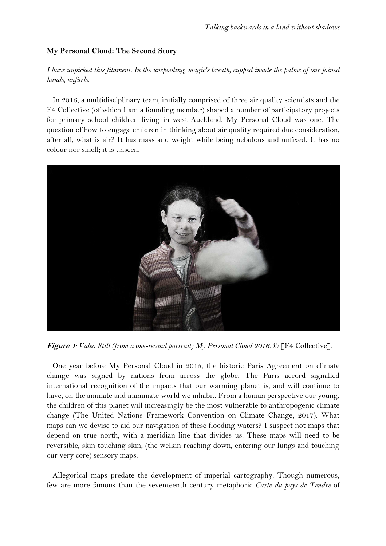## **My Personal Cloud: The Second Story**

# *I have unpicked this filament. In the unspooling, magic's breath, cupped inside the palms of our joined hands, unfurls.*

In 2016, a multidisciplinary team, initially comprised of three air quality scientists and the F4 Collective (of which I am a founding member) shaped a number of participatory projects for primary school children living in west Auckland, My Personal Cloud was one. The question of how to engage children in thinking about air quality required due consideration, after all, what is air? It has mass and weight while being nebulous and unfixed. It has no colour nor smell; it is unseen.



**Figure 1***: Video Still (from a one-second portrait) My Personal Cloud 2016.* © [F4 Collective].

One year before My Personal Cloud in 2015, the historic Paris Agreement on climate change was signed by nations from across the globe. The Paris accord signalled international recognition of the impacts that our warming planet is, and will continue to have, on the animate and inanimate world we inhabit. From a human perspective our young, the children of this planet will increasingly be the most vulnerable to anthropogenic climate change (The United Nations Framework Convention on Climate Change, 2017). What maps can we devise to aid our navigation of these flooding waters? I suspect not maps that depend on true north, with a meridian line that divides us. These maps will need to be reversible, skin touching skin, (the welkin reaching down, entering our lungs and touching our very core) sensory maps.

Allegorical maps predate the development of imperial cartography. Though numerous, few are more famous than the seventeenth century metaphoric *Carte du pays de Tendre* of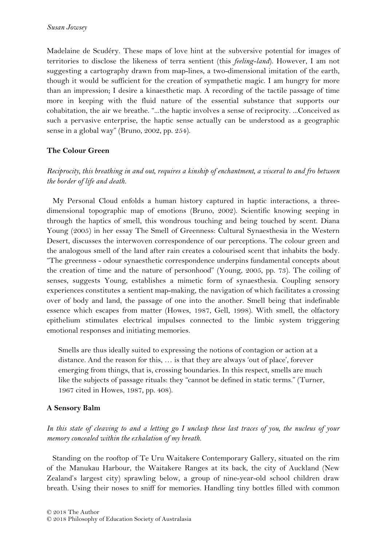Madelaine de Scudéry. These maps of love hint at the subversive potential for images of territories to disclose the likeness of terra sentient (this *feeling-land*). However, I am not suggesting a cartography drawn from map-lines, a two-dimensional imitation of the earth, though it would be sufficient for the creation of sympathetic magic. I am hungry for more than an impression; I desire a kinaesthetic map. A recording of the tactile passage of time more in keeping with the fluid nature of the essential substance that supports our cohabitation, the air we breathe. "...the haptic involves a sense of reciprocity. ...Conceived as such a pervasive enterprise, the haptic sense actually can be understood as a geographic sense in a global way" (Bruno, 2002, pp. 254).

## **The Colour Green**

# *Reciprocity, this breathing in and out, requires a kinship of enchantment, a visceral to and fro between the border of life and death.*

My Personal Cloud enfolds a human history captured in haptic interactions, a threedimensional topographic map of emotions (Bruno, 2002). Scientific knowing seeping in through the haptics of smell, this wondrous touching and being touched by scent. Diana Young (2005) in her essay The Smell of Greenness: Cultural Synaesthesia in the Western Desert, discusses the interwoven correspondence of our perceptions. The colour green and the analogous smell of the land after rain creates a colourised scent that inhabits the body. "The greenness - odour synaesthetic correspondence underpins fundamental concepts about the creation of time and the nature of personhood" (Young, 2005, pp. 73). The coiling of senses, suggests Young, establishes a mimetic form of synaesthesia. Coupling sensory experiences constitutes a sentient map-making, the navigation of which facilitates a crossing over of body and land, the passage of one into the another. Smell being that indefinable essence which escapes from matter (Howes, 1987, Gell, 1998). With smell, the olfactory epithelium stimulates electrical impulses connected to the limbic system triggering emotional responses and initiating memories.

Smells are thus ideally suited to expressing the notions of contagion or action at a distance. And the reason for this, … is that they are always 'out of place', forever emerging from things, that is, crossing boundaries. In this respect, smells are much like the subjects of passage rituals: they "cannot be defined in static terms." (Turner, 1967 cited in Howes, 1987, pp. 408).

## **A Sensory Balm**

*In this state of cleaving to and a letting go I unclasp these last traces of you, the nucleus of your memory concealed within the exhalation of my breath.* 

Standing on the rooftop of Te Uru Waitakere Contemporary Gallery, situated on the rim of the Manukau Harbour, the Waitakere Ranges at its back, the city of Auckland (New Zealand's largest city) sprawling below, a group of nine-year-old school children draw breath. Using their noses to sniff for memories. Handling tiny bottles filled with common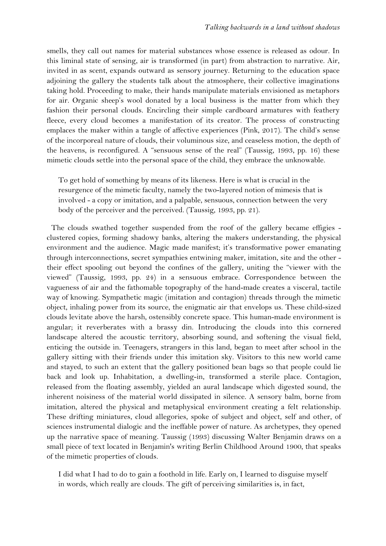smells, they call out names for material substances whose essence is released as odour. In this liminal state of sensing, air is transformed (in part) from abstraction to narrative. Air, invited in as scent, expands outward as sensory journey. Returning to the education space adjoining the gallery the students talk about the atmosphere, their collective imaginations taking hold. Proceeding to make, their hands manipulate materials envisioned as metaphors for air. Organic sheep's wool donated by a local business is the matter from which they fashion their personal clouds. Encircling their simple cardboard armatures with feathery fleece, every cloud becomes a manifestation of its creator. The process of constructing emplaces the maker within a tangle of affective experiences (Pink, 2017). The child's sense of the incorporeal nature of clouds, their voluminous size, and ceaseless motion, the depth of the heavens, is reconfigured. A "sensuous sense of the real" (Taussig, 1993, pp. 16) these mimetic clouds settle into the personal space of the child, they embrace the unknowable.

To get hold of something by means of its likeness. Here is what is crucial in the resurgence of the mimetic faculty, namely the two-layered notion of mimesis that is involved - a copy or imitation, and a palpable, sensuous, connection between the very body of the perceiver and the perceived. (Taussig, 1993, pp. 21).

The clouds swathed together suspended from the roof of the gallery became effigies clustered copies, forming shadowy banks, altering the makers understanding, the physical environment and the audience. Magic made manifest; it's transformative power emanating through interconnections, secret sympathies entwining maker, imitation, site and the other their effect spooling out beyond the confines of the gallery, uniting the "viewer with the viewed" (Taussig, 1993, pp. 24) in a sensuous embrace. Correspondence between the vagueness of air and the fathomable topography of the hand-made creates a visceral, tactile way of knowing. Sympathetic magic (imitation and contagion) threads through the mimetic object, inhaling power from its source, the enigmatic air that envelops us. These child-sized clouds levitate above the harsh, ostensibly concrete space. This human-made environment is angular; it reverberates with a brassy din. Introducing the clouds into this cornered landscape altered the acoustic territory, absorbing sound, and softening the visual field, enticing the outside in. Teenagers, strangers in this land, began to meet after school in the gallery sitting with their friends under this imitation sky. Visitors to this new world came and stayed, to such an extent that the gallery positioned bean bags so that people could lie back and look up. Inhabitation, a dwelling-in, transformed a sterile place. Contagion, released from the floating assembly, yielded an aural landscape which digested sound, the inherent noisiness of the material world dissipated in silence. A sensory balm, borne from imitation, altered the physical and metaphysical environment creating a felt relationship. These drifting miniatures, cloud allegories, spoke of subject and object, self and other, of sciences instrumental dialogic and the ineffable power of nature. As archetypes, they opened up the narrative space of meaning. Taussig (1993) discussing Walter Benjamin draws on a small piece of text located in Benjamin's writing Berlin Childhood Around 1900, that speaks of the mimetic properties of clouds.

I did what I had to do to gain a foothold in life. Early on, I learned to disguise myself in words, which really are clouds. The gift of perceiving similarities is, in fact,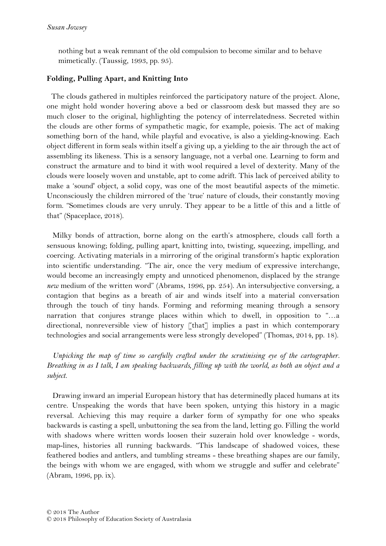nothing but a weak remnant of the old compulsion to become similar and to behave mimetically. (Taussig, 1993, pp. 95).

## **Folding, Pulling Apart, and Knitting Into**

The clouds gathered in multiples reinforced the participatory nature of the project. Alone, one might hold wonder hovering above a bed or classroom desk but massed they are so much closer to the original, highlighting the potency of interrelatedness. Secreted within the clouds are other forms of sympathetic magic, for example, poiesis. The act of making something born of the hand, while playful and evocative, is also a yielding-knowing. Each object different in form seals within itself a giving up, a yielding to the air through the act of assembling its likeness. This is a sensory language, not a verbal one. Learning to form and construct the armature and to bind it with wool required a level of dexterity. Many of the clouds were loosely woven and unstable, apt to come adrift. This lack of perceived ability to make a 'sound' object, a solid copy, was one of the most beautiful aspects of the mimetic. Unconsciously the children mirrored of the 'true' nature of clouds, their constantly moving form. "Sometimes clouds are very unruly. They appear to be a little of this and a little of that" (Spaceplace, 2018).

Milky bonds of attraction, borne along on the earth's atmosphere, clouds call forth a sensuous knowing; folding, pulling apart, knitting into, twisting, squeezing, impelling, and coercing. Activating materials in a mirroring of the original transform's haptic exploration into scientific understanding. "The air, once the very medium of expressive interchange, would become an increasingly empty and unnoticed phenomenon, displaced by the strange *new* medium of the written word" (Abrams, 1996, pp. 254). An intersubjective conversing, a contagion that begins as a breath of air and winds itself into a material conversation through the touch of tiny hands. Forming and reforming meaning through a sensory narration that conjures strange places within which to dwell, in opposition to "…a directional, nonreversible view of history [that] implies a past in which contemporary technologies and social arrangements were less strongly developed" (Thomas, 2014, pp. 18).

*Unpicking the map of time so carefully crafted under the scrutinising eye of the cartographer. Breathing in as I talk, I am speaking backwards, filling up with the world, as both an object and a subject.* 

Drawing inward an imperial European history that has determinedly placed humans at its centre. Unspeaking the words that have been spoken, untying this history in a magic reversal. Achieving this may require a darker form of sympathy for one who speaks backwards is casting a spell, unbuttoning the sea from the land, letting go. Filling the world with shadows where written words loosen their suzerain hold over knowledge - words, map-lines, histories all running backwards. "This landscape of shadowed voices, these feathered bodies and antlers, and tumbling streams - these breathing shapes are our family, the beings with whom we are engaged, with whom we struggle and suffer and celebrate" (Abram, 1996, pp. ix).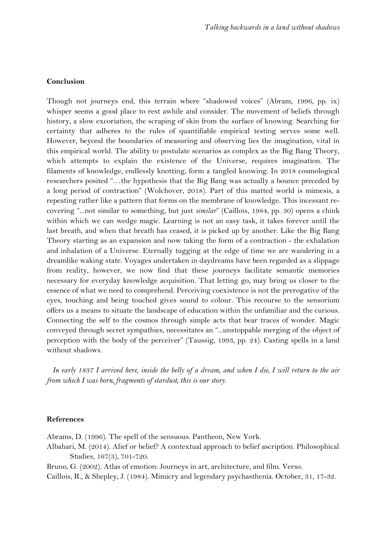### **Conclusion**

Though not journeys end, this terrain where "shadowed voices" (Abram, 1996, pp. ix) whisper seems a good place to rest awhile and consider. The movement of beliefs through history, a slow excoriation, the scraping of skin from the surface of knowing. Searching for certainty that adheres to the rules of quantifiable empirical testing serves some well. However, beyond the boundaries of measuring and observing lies the imagination, vital in this empirical world. The ability to postulate scenarios as complex as the Big Bang Theory, which attempts to explain the existence of the Universe, requires imagination. The filaments of knowledge, endlessly knotting, form a tangled knowing. In 2018 cosmological researchers posited "…the hypothesis that the Big Bang was actually a bounce preceded by a long period of contraction" (Wolchover, 2018). Part of this matted world is mimesis, a repeating rather like a pattern that forms on the membrane of knowledge. This incessant recovering "...not similar to something, but just *similar*" (Caillois, 1984, pp. 30) opens a chink within which we can wedge magic. Learning is not an easy task, it takes forever until the last breath, and when that breath has ceased, it is picked up by another. Like the Big Bang Theory starting as an expansion and now taking the form of a contraction - the exhalation and inhalation of a Universe. Eternally tugging at the edge of time we are wandering in a dreamlike waking state. Voyages undertaken in daydreams have been regarded as a slippage from reality, however, we now find that these journeys facilitate semantic memories necessary for everyday knowledge acquisition. That letting go, may bring us closer to the essence of what we need to comprehend. Perceiving coexistence is not the prerogative of the eyes, touching and being touched gives sound to colour. This recourse to the sensorium offers us a means to situate the landscape of education within the unfamiliar and the curious. Connecting the self to the cosmos through simple acts that bear traces of wonder. Magic conveyed through secret sympathies, necessitates an "...unstoppable merging of the object of perception with the body of the perceiver" (Taussig, 1993, pp. 24). Casting spells in a land without shadows.

*In early 1837 I arrived here, inside the belly of a dream, and when I die, I will return to the air from which I was born, fragments of stardust, this is our story.* 

### **References**

Abrams, D. (1996). The spell of the sensuous. Pantheon, New York.

Albahari, M. (2014). Alief or belief? A contextual approach to belief ascription. Philosophical Studies, 167(3), 701-720.

Bruno, G. (2002). Atlas of emotion: Journeys in art, architecture, and film. Verso.

Caillois, R., & Shepley, J. (1984). Mimicry and legendary psychasthenia. October, 31, 17-32.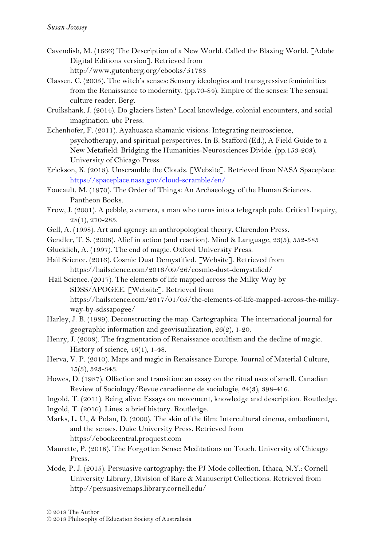- Cavendish, M. (1666) The Description of a New World. Called the Blazing World. [Adobe Digital Editions version]. Retrieved from http://www.gutenberg.org/ebooks/51783
- Classen, C. (2005). The witch's senses: Sensory ideologies and transgressive femininities from the Renaissance to modernity. (pp.70-84). Empire of the senses: The sensual culture reader. Berg.
- Cruikshank, J. (2014). Do glaciers listen? Local knowledge, colonial encounters, and social imagination. ubc Press.
- Echenhofer, F. (2011). Ayahuasca shamanic visions: Integrating neuroscience, psychotherapy, and spiritual perspectives. In B. Stafford (Ed.), A Field Guide to a New Metafield: Bridging the Humanities-Neurosciences Divide. (pp.153-203). University of Chicago Press.
- Erickson, K. (2018). Unscramble the Clouds. [Website]. Retrieved from NASA Spaceplace: https://spaceplace.nasa.gov/cloud-scramble/en/
- Foucault, M. (1970). The Order of Things: An Archaeology of the Human Sciences. Pantheon Books.
- Frow, J. (2001). A pebble, a camera, a man who turns into a telegraph pole. Critical Inquiry, 28(1), 270-285.
- Gell, A. (1998). Art and agency: an anthropological theory. Clarendon Press.
- Gendler, T. S. (2008). Alief in action (and reaction). Mind & Language, 23(5), 552-585
- Glucklich, A. (1997). The end of magic. Oxford University Press.
- Hail Science. (2016). Cosmic Dust Demystified. [Website]. Retrieved from https://hailscience.com/2016/09/26/cosmic-dust-demystified/
- Hail Science. (2017). The elements of life mapped across the Milky Way by SDSS/APOGEE. [Website]. Retrieved from https://hailscience.com/2017/01/05/the-elements-of-life-mapped-across-the-milkyway-by-sdssapogee/
- Harley, J. B. (1989). Deconstructing the map. Cartographica: The international journal for geographic information and geovisualization, 26(2), 1-20.
- Henry, J. (2008). The fragmentation of Renaissance occultism and the decline of magic. History of science, 46(1), 1-48.
- Herva, V. P. (2010). Maps and magic in Renaissance Europe. Journal of Material Culture, 15(3), 323-343.
- Howes, D. (1987). Olfaction and transition: an essay on the ritual uses of smell. Canadian Review of Sociology/Revue canadienne de sociologie, 24(3), 398-416.
- Ingold, T. (2011). Being alive: Essays on movement, knowledge and description. Routledge.
- Ingold, T. (2016). Lines: a brief history. Routledge.
- Marks, L. U., & Polan, D. (2000). The skin of the film: Intercultural cinema, embodiment, and the senses. Duke University Press. Retrieved from https://ebookcentral.proquest.com
- Maurette, P. (2018). The Forgotten Sense: Meditations on Touch. University of Chicago Press.
- Mode, P. J. (2015). Persuasive cartography: the PJ Mode collection. Ithaca, N.Y.: Cornell University Library, Division of Rare & Manuscript Collections. Retrieved from http://persuasivemaps.library.cornell.edu/